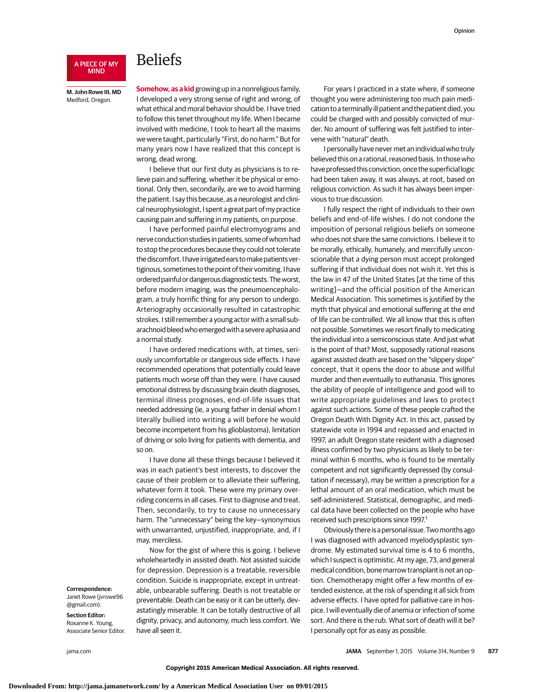## A PIECE OF MY MIND

## Beliefs

**M. John Rowe III, MD** Medford, Oregon.

**Somehow, as a kid** growing up in a nonreligious family, I developed a very strong sense of right and wrong, of what ethical and moral behavior should be. I have tried to follow this tenet throughout my life. When I became involved with medicine, I took to heart all the maxims we were taught, particularly "First, do no harm." But for many years now I have realized that this concept is wrong, dead wrong.

I believe that our first duty as physicians is to relieve pain and suffering, whether it be physical or emotional. Only then, secondarily, are we to avoid harming the patient. I say this because, as a neurologist and clinical neurophysiologist, I spent a great part of my practice causing pain and suffering in my patients, on purpose.

I have performed painful electromyograms and nerve conduction studies in patients, some of whom had to stop the procedures because they could not tolerate the discomfort. I have irrigated ears to make patients vertiginous, sometimes to the point of their vomiting. I have ordered painful or dangerous diagnostic tests. Theworst, before modern imaging, was the pneumoencephalogram, a truly horrific thing for any person to undergo. Arteriography occasionally resulted in catastrophic strokes. I still remember a young actor with a small subarachnoid bleed whoemerged with a severe aphasia and a normal study.

I have ordered medications with, at times, seriously uncomfortable or dangerous side effects. I have recommended operations that potentially could leave patients much worse off than they were. I have caused emotional distress by discussing brain death diagnoses, terminal illness prognoses, end-of-life issues that needed addressing (ie, a young father in denial whom I literally bullied into writing a will before he would become incompetent from his glioblastoma), limitation of driving or solo living for patients with dementia, and so on.

I have done all these things because I believed it was in each patient's best interests, to discover the cause of their problem or to alleviate their suffering, whatever form it took. These were my primary overriding concerns in all cases. First to diagnose and treat. Then, secondarily, to try to cause no unnecessary harm. The "unnecessary" being the key—synonymous with unwarranted, unjustified, inappropriate, and, if I may, merciless.

Now for the gist of where this is going. I believe wholeheartedly in assisted death. Not assisted suicide for depression. Depression is a treatable, reversible condition. Suicide is inappropriate, except in untreatable, unbearable suffering. Death is not treatable or preventable. Death can be easy or it can be utterly, devastatingly miserable. It can be totally destructive of all dignity, privacy, and autonomy, much less comfort. We have all seen it.

For years I practiced in a state where, if someone thought you were administering too much pain medication to a terminally ill patient and the patient died, you could be charged with and possibly convicted of murder. No amount of suffering was felt justified to intervene with "natural" death.

I personally have never met an individual who truly believed this on a rational, reasoned basis. In those who have professed this conviction, once the superficial logic had been taken away, it was always, at root, based on religious conviction. As such it has always been impervious to true discussion.

I fully respect the right of individuals to their own beliefs and end-of-life wishes. I do not condone the imposition of personal religious beliefs on someone who does not share the same convictions. I believe it to be morally, ethically, humanely, and mercifully unconscionable that a dying person must accept prolonged suffering if that individual does not wish it. Yet this is the law in 47 of the United States [at the time of this writing]—and the official position of the American Medical Association. This sometimes is justified by the myth that physical and emotional suffering at the end of life can be controlled. We all know that this is often not possible. Sometimes we resort finally to medicating the individual into a semiconscious state. And just what is the point of that? Most, supposedly rational reasons against assisted death are based on the "slippery slope" concept, that it opens the door to abuse and willful murder and then eventually to euthanasia. This ignores the ability of people of intelligence and good will to write appropriate guidelines and laws to protect against such actions. Some of these people crafted the Oregon Death With Dignity Act. In this act, passed by statewide vote in 1994 and repassed and enacted in 1997, an adult Oregon state resident with a diagnosed illness confirmed by two physicians as likely to be terminal within 6 months, who is found to be mentally competent and not significantly depressed (by consultation if necessary), may be written a prescription for a lethal amount of an oral medication, which must be self-administered. Statistical, demographic, and medical data have been collected on the people who have received such prescriptions since 1997.<sup>1</sup>

Obviously there is a personal issue. Twomonths ago I was diagnosed with advanced myelodysplastic syndrome. My estimated survival time is 4 to 6 months, which I suspect is optimistic. At my age, 73, and general medical condition, bonemarrow transplant is not an option. Chemotherapy might offer a few months of extended existence, at the risk of spending it all sick from adverse effects. I have opted for palliative care in hospice. I will eventually die of anemia or infection of some sort. And there is the rub. What sort of death will it be? I personally opt for as easy as possible.

**Correspondence:**

Janet Rowe (jvrowe96 @gmail.com).

**Section Editor:** Roxanne K. Young, Associate Senior Editor.